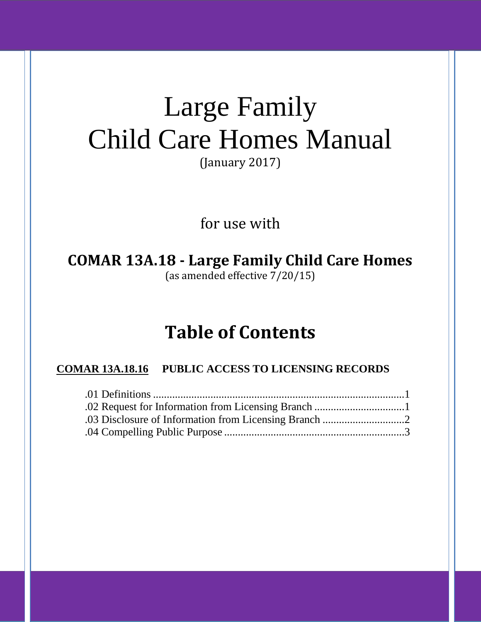# Large Family Child Care Homes Manual

(January 2017)

for use with

**COMAR 13A.18 - Large Family Child Care Homes** (as amended effective 7/20/15)

## **Table of Contents**

### **COMAR 13A.18.16 PUBLIC ACCESS TO LICENSING RECORDS**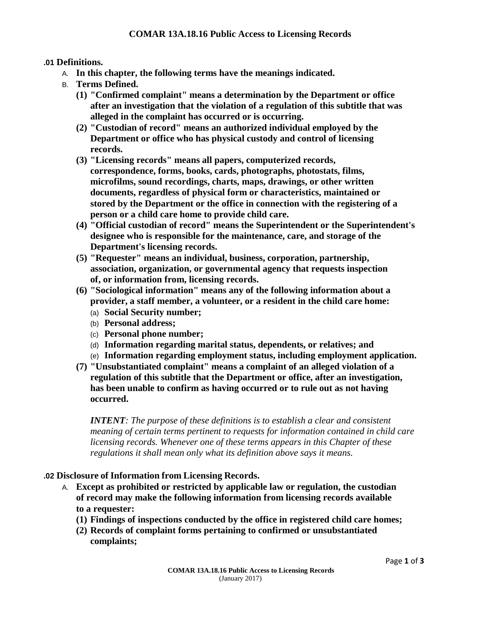#### **.01 Definitions.**

- A. **In this chapter, the following terms have the meanings indicated.**
- B. **Terms Defined.**
	- **(1) "Confirmed complaint" means a determination by the Department or office after an investigation that the violation of a regulation of this subtitle that was alleged in the complaint has occurred or is occurring.**
	- **(2) "Custodian of record" means an authorized individual employed by the Department or office who has physical custody and control of licensing records.**
	- **(3) "Licensing records" means all papers, computerized records, correspondence, forms, books, cards, photographs, photostats, films, microfilms, sound recordings, charts, maps, drawings, or other written documents, regardless of physical form or characteristics, maintained or stored by the Department or the office in connection with the registering of a person or a child care home to provide child care.**
	- **(4) "Official custodian of record" means the Superintendent or the Superintendent's designee who is responsible for the maintenance, care, and storage of the Department's licensing records.**
	- **(5) "Requester" means an individual, business, corporation, partnership, association, organization, or governmental agency that requests inspection of, or information from, licensing records.**
	- **(6) "Sociological information" means any of the following information about a provider, a staff member, a volunteer, or a resident in the child care home:**
		- (a) **Social Security number;**
		- (b) **Personal address;**
		- (c) **Personal phone number;**
		- (d) **Information regarding marital status, dependents, or relatives; and**
		- (e) **Information regarding employment status, including employment application.**
	- **(7) "Unsubstantiated complaint" means a complaint of an alleged violation of a regulation of this subtitle that the Department or office, after an investigation, has been unable to confirm as having occurred or to rule out as not having occurred.**

*INTENT: The purpose of these definitions is to establish a clear and consistent meaning of certain terms pertinent to requests for information contained in child care licensing records. Whenever one of these terms appears in this Chapter of these regulations it shall mean only what its definition above says it means.*

#### **.02 Disclosure of Information from Licensing Records.**

- A. **Except as prohibited or restricted by applicable law or regulation, the custodian of record may make the following information from licensing records available to a requester:**
	- **(1) Findings of inspections conducted by the office in registered child care homes;**
	- **(2) Records of complaint forms pertaining to confirmed or unsubstantiated complaints;**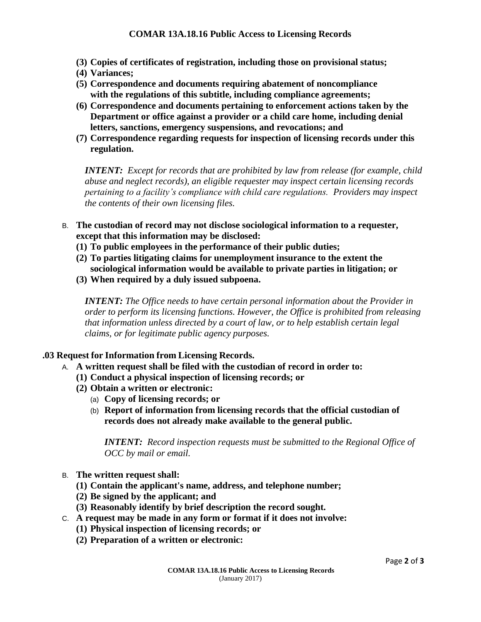- **(3) Copies of certificates of registration, including those on provisional status;**
- **(4) Variances;**
- **(5) Correspondence and documents requiring abatement of noncompliance with the regulations of this subtitle, including compliance agreements;**
- **(6) Correspondence and documents pertaining to enforcement actions taken by the Department or office against a provider or a child care home, including denial letters, sanctions, emergency suspensions, and revocations; and**
- **(7) Correspondence regarding requests for inspection of licensing records under this regulation.**

*INTENT: Except for records that are prohibited by law from release (for example, child abuse and neglect records), an eligible requester may inspect certain licensing records pertaining to a facility's compliance with child care regulations. Providers may inspect the contents of their own licensing files.*

- B. **The custodian of record may not disclose sociological information to a requester, except that this information may be disclosed:**
	- **(1) To public employees in the performance of their public duties;**
	- **(2) To parties litigating claims for unemployment insurance to the extent the sociological information would be available to private parties in litigation; or**
	- **(3) When required by a duly issued subpoena.**

*INTENT: The Office needs to have certain personal information about the Provider in order to perform its licensing functions. However, the Office is prohibited from releasing that information unless directed by a court of law, or to help establish certain legal claims, or for legitimate public agency purposes.*

#### **.03 Request for Information from Licensing Records.**

- A. **A written request shall be filed with the custodian of record in order to:**
	- **(1) Conduct a physical inspection of licensing records; or**
	- **(2) Obtain a written or electronic:**
		- (a) **Copy of licensing records; or**
		- (b) **Report of information from licensing records that the official custodian of records does not already make available to the general public.**

*INTENT: Record inspection requests must be submitted to the Regional Office of OCC by mail or email.*

- B. **The written request shall:**
	- **(1) Contain the applicant's name, address, and telephone number;**
	- **(2) Be signed by the applicant; and**
	- **(3) Reasonably identify by brief description the record sought.**
- C. **A request may be made in any form or format if it does not involve:**
	- **(1) Physical inspection of licensing records; or**
	- **(2) Preparation of a written or electronic:**